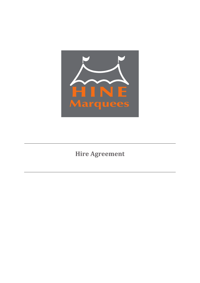

**Hire Agreement**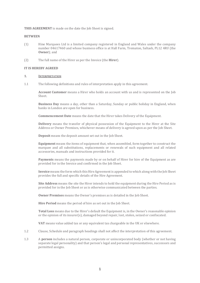**THIS AGREEMENT** is made on the date the Job Sheet is signed.

## **BETWEEN**

- (1) Hine Marquees Ltd is a limited company registered in England and Wales under the company number 04617460 and whose business office is at Hall Farm, Trematon, Saltash, PL12 4RU (the **Owner**); and
- (2) The full name of the Hirer as per the Invoice (the **Hirer**).

## **IT IS HEREBY AGREED**

## **1. INTERPRETATION**

1.1 The following definitions and rules of interpretation apply in this agreement.

**Account Customer** means a Hirer who holds an account with us and is represented on the Job Sheet.

**Business Day** means a day, other than a Saturday, Sunday or public holiday in England, when banks in London are open for business.

**Commencement Date** means the date that the Hirer takes Delivery of the Equipment.

**Delivery** means the transfer of physical possession of the Equipment to the Hirer at the Site Address or Owner Premises, whichever means of delivery is agreed upon as per the Job Sheet.

**Deposit** means the deposit amount set out in the Job Sheet.

**Equipment** means the items of equipment that, when assembled, form together to construct the marquee and all substitutions, replacements or renewals of such equipment and all related accessories, manuals and instructions provided for it.

**Payments** means the payments made by or on behalf of Hirer for hire of the Equipment as are provided for in the Invoice and confirmed in the Job Sheet.

**Invoice** means the form which this Hire Agreement is appended to which along with the Job Sheet provides the full and specific details of the Hire Agreement.

**Site Address** means the site the Hirer intends to hold the equipment during the Hire Period as is provided for in the Job Sheet or as is otherwise communicated between the parties.

**Owner Premises** means the Owner's premises as is detailed in the Job Sheet.

**Hire Period** means the period of hire as set out in the Job Sheet.

**Total Loss** means due to the Hirer's default the Equipment is, in the Owner's reasonable opinion or the opinion of its insurer(s), damaged beyond repair, lost, stolen, seized or confiscated.

**VAT** means value added tax or any equivalent tax chargeable in the UK or elsewhere.

- 1.2 Clause, Schedule and paragraph headings shall not affect the interpretation of this agreement.
- 1.3 A **person** includes a natural person, corporate or unincorporated body (whether or not having separate legal personality) and that person's legal and personal representatives, successors and permitted assigns.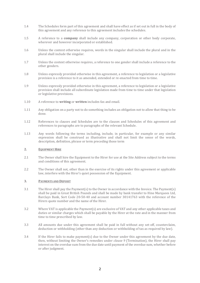- 1.4 The Schedules form part of this agreement and shall have effect as if set out in full in the body of this agreement and any reference to this agreement includes the schedules.
- 1.5 A reference to a **company** shall include any company, corporation or other body corporate, wherever and however incorporated or established.
- 1.6 Unless the context otherwise requires, words in the singular shall include the plural and in the plural shall include the singular.
- 1.7 Unless the context otherwise requires, a reference to one gender shall include a reference to the other genders.
- 1.8 Unless expressly provided otherwise in this agreement, a reference to legislation or a legislative provision is a reference to it as amended, extended or re-enacted from time to time.
- 1.9 Unless expressly provided otherwise in this agreement, a reference to legislation or a legislative provision shall include all subordinate legislation made from time to time under that legislation or legislative provisions.
- 1.10 A reference to **writing** or **written** includes fax and email.
- 1.11 Any obligation on a party not to do something includes an obligation not to allow that thing to be done.
- 1.12 References to clauses and Schedules are to the clauses and Schedules of this agreement and references to paragraphs are to paragraphs of the relevant Schedule.
- 1.13 Any words following the terms including, include, in particular, for example or any similar expression shall be construed as illustrative and shall not limit the sense of the words, description, definition, phrase or term preceding those term

# **2. EQUIPMENT HIRE**

- 2.1 The Owner shall hire the Equipment to the Hirer for use at the Site Address subject to the terms and conditions of this agreement.
- 2.2 The Owner shall not, other than in the exercise of its rights under this agreement or applicable law, interfere with the Hirer's quiet possession of the Equipment.

## **3. PAYMENTS AND DEPOSIT**

- 3.1 The Hirer shall pay the Payment(s) to the Owner in accordance with the Invoice. The Payment(s) shall be paid in Great British Pounds and shall be made by bank transfer to Hine Marquees Ltd, Barclays Bank, Sort Code 20-50-40 and account number 30141763 with the reference of the Hirers quote number and the name of the Hirer.
- 3.2 Where VAT is applicable the Payment(s) are exclusive of VAT and any other applicable taxes and duties or similar charges which shall be payable by the Hirer at the rate and in the manner from time to time prescribed by law.
- 3.3 All amounts due under this agreement shall be paid in full without any set-off, counterclaim, deduction or withholding (other than any deduction or withholding of tax as required by law).
- <span id="page-2-0"></span>3.4 If the Hirer fails to make payment(s) due to the Owner under this agreement by the due date, then, without limiting the Owner's remedies under *clause [9](#page-8-0)* (Termination), the Hirer shall pay interest on the overdue sum from the due date until payment of the overdue sum, whether before or after judgment.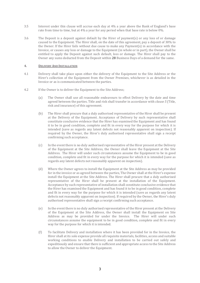- 3.5 Interest under this clause will accrue each day at 4% a year above the Bank of England's base rate from time to time, but at 4% a year for any period when that base rate is below 0%.
- 3.6 The Deposit is a deposit against default by the Hirer of payment(s) or any loss of or damage caused to the Equipment. The Hirer shall, on the date of this agreement, pay a deposit of 30% to the Owner. If the Hirer fails without due cause to make any Payment(s) in accordance with the Invoice, or causes any loss or damage to the Equipment (in whole or in part), the Owner shall be entitled to apply the Deposit against such default, loss or damage. The Hirer shall pay to the Owner any sums deducted from the Deposit within 28 Business Days of a demand for the same.

## **4. DELIVERY AND INSTALLATION**

- 4.1 Delivery shall take place upon either the delivery of the Equipment to the Site Address or the Hirer's collection of the Equipment from the Owner Premises, whichever is as detailed in the Invoice or as is communicated between the parties.
- 4.2 If the Owner is to deliver the Equipment to the Site Address;
	- (a) The Owner shall use all reasonable endeavours to effect Delivery by the date and time agreed between the parties. Title and risk shall transfer in accordance with *claus[e 5](#page-4-0)* (Title, risk and insurance) of this agreement.
	- (b) The Hirer shall procure that a duly authorised representative of the Hirer shall be present at the Delivery of the Equipment. Acceptance of Delivery by such representative shall constitute conclusive evidence that the Hirer has examined the Equipment and has found it to be in good condition, complete and fit in every way for the purpose for which it is intended (save as regards any latent defects not reasonably apparent on inspection). If required by the Owner, the Hirer's duly authorised representative shall sign a receipt confirming such acceptance.
	- (c) In the event there is no duly authorised representative of the Hirer present at the Delivery of the Equipment at the Site Address, the Owner shall leave the Equipment at the Site Address. The Hirer will under such circumstances assume the Equipment to be in good condition, complete and fit in every way for the purpose for which it is intended (save as regards any latent defects not reasonably apparent on inspection).
	- (d) Where the Owner agrees to install the Equipment at the Site Address as may be provided for in the invoice or as agreed between the parties, The Owner shall at the Hirer's expense install the Equipment at the Site Address. The Hirer shall procure that a duly authorised representative of the Hirer shall be present at the installation of the Equipment. Acceptance by such representative of installation shall constitute conclusive evidence that the Hirer has examined the Equipment and has found it to be in good condition, complete and fit in every way for the purpose for which it is intended (save as regards any latent defects not reasonably apparent on inspection). If required by the Owner, the Hirer's duly authorised representative shall sign a receipt confirming such acceptance.
	- (e) In the event there is no duly authorised representative of the Hirer present at the Delivery of the Equipment at the Site Address, the Owner shall install the Equipment on Site Address as may be provided for under the Invoice. The Hirer will under such circumstances assume the equipment to be in good condition, complete and fit in every way for the purpose for which it is intended.
	- (f) To facilitate Delivery and installation where it has been provided for in the Invoice, the Hirer shall at its sole expense provide all requisite materials, facilities, access and suitable working conditions to enable Delivery and installation to be carried out safely and expeditiously and ensure that there is sufficient and appropriate access to the Site Address to allow the Owner to deliver the Equipment.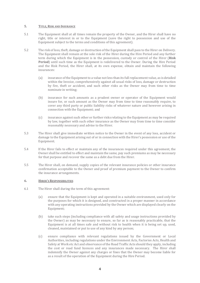# <span id="page-4-0"></span>**5. TITLE, RISK AND INSURANCE**

- 5.1 The Equipment shall at all times remain the property of the Owner, and the Hirer shall have no right, title or interest in or to the Equipment (save the right to possession and use of the Equipment subject to the terms and conditions of this agreement).
- 5.2 The risk of loss, theft, damage or destruction of the Equipment shall pass to the Hirer on Delivery. The Equipment shall remain at the sole risk of the Hirer during the Hire Period and any further term during which the Equipment is in the possession, custody or control of the Hirer (**Risk Period**) until such time as the Equipment is redelivered to the Owner. During the Hire Period and the Risk Period, the Hirer shall, at its own expense, obtain and maintain the following insurances:
	- (a) insurance of the Equipment to a value not less than its full replacement value, as is detailed within the Invoice, comprehensively against all usual risks of loss, damage or destruction by fire, theft or accident, and such other risks as the Owner may from time to time nominate in writing;
	- (b) insurance for such amounts as a prudent owner or operator of the Equipment would insure for, or such amount as the Owner may from time to time reasonably require, to cover any third party or public liability risks of whatever nature and however arising in connection with the Equipment; and
	- (c) insurance against such other or further risks relating to the Equipment as may be required by law, together with such other insurance as the Owner may from time to time consider reasonably necessary and advise to the Hirer.
- 5.3 The Hirer shall give immediate written notice to the Owner in the event of any loss, accident or damage to the Equipment arising out of or in connection with the Hirer's possession or use of the Equipment.
- 5.4 If the Hirer fails to effect or maintain any of the insurances required under this agreement, the Owner shall be entitled to effect and maintain the same, pay such premiums as may be necessary for that purpose and recover the same as a debt due from the Hirer.
- 5.5 The Hirer shall, on demand, supply copies of the relevant insurance policies or other insurance confirmation acceptable to the Owner and proof of premium payment to the Owner to confirm the insurance arrangements.

## <span id="page-4-1"></span>**6. HIRER'S RESPONSIBILITIES**

- 6.1 The Hirer shall during the term of this agreement:
	- (a) ensure that the Equipment is kept and operated in a suitable environment, used only for the purposes for which it is designed, and constructed in a proper manner in accordance with any operating instructions provided by the Owner which are displayed clearly on the Equipment;
	- (b) take such steps (including compliance with all safety and usage instructions provided by the Owner) as may be necessary to ensure, so far as is reasonably practicable, that the Equipment is at all times safe and without risk to health when it is being set up, used, cleaned, maintained or put to use of any kind by any person;
	- (c) ensure compliance with relevant regulations issued by the Government or Local Authorities, including regulations under the Environment Acts, Factories Acts, Health and Safety at Work etc Act and observance of the Road Traffic Acts should they apply, including the cost or road fund licences and any insurances made necessary. The Hirer shall indemnify the Owner against any charges or fines that the Owner may become liable for as a result of the operation of the Equipment during the Hire Period.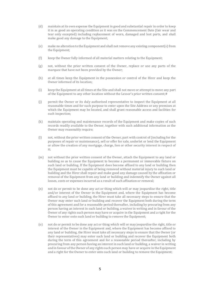- (d) maintain at its own expense the Equipment in good and substantial repair in order to keep it in as good an operating condition as it was on the Commencement Date (fair wear and tear only excepted) including replacement of worn, damaged and lost parts, and shall make good any damage to the Equipment;
- (e) make no alteration to the Equipment and shall not remove any existing component(s) from the Equipment;
- (f) keep the Owner fully informed of all material matters relating to the Equipment;
- (g) not, without the prior written consent of the Owner, replace or use any parts of the marquee that have not been provided by the Owner;
- (h) at all times keep the Equipment in the possession or control of the Hirer and keep the Owner informed of its location;
- (i) keep the Equipment at all times at the Site and shall not move or attempt to move any part of the Equipment to any other location without the Lessor's prior written consent;#
- (j) permit the Owner or its duly authorised representative to inspect the Equipment at all reasonable times and for such purpose to enter upon the Site Address or any premises at which the Equipment may be located, and shall grant reasonable access and facilities for such inspection;
- (k) maintain operating and maintenance records of the Equipment and make copies of such records readily available to the Owner, together with such additional information as the Owner may reasonably require;
- (l) not, without the prior written consent of the Owner, part with control of (including for the purposes of repair or maintenance), sell or offer for sale, underlet or lend the Equipment or allow the creation of any mortgage, charge, lien or other security interest in respect of it;
- (m) not without the prior written consent of the Owner, attach the Equipment to any land or building so as to cause the Equipment to become a permanent or immovable fixture on such land or building. If the Equipment does become affixed to any land or building then the Equipment must be capable of being removed without material injury to such land or building and the Hirer shall repair and make good any damage caused by the affixation or removal of the Equipment from any land or building and indemnify the Owner against all losses, costs or expenses incurred as a result of such affixation or removal;
- (n) not do or permit to be done any act or thing which will or may jeopardise the right, title and/or interest of the Owner in the Equipment and, where the Equipment has become affixed to any land or building, the Hirer must take all necessary steps to ensure that the Owner may enter such land or building and recover the Equipment both during the term of this agreement and for a reasonable period thereafter, including by procuring from any person having an interest in such land or building, a waiver in writing and in favour of the Owner of any rights such person may have or acquire in the Equipment and a right for the Owner to enter onto such land or building to remove the Equipment;
- (o) not do or permit to be done any act or thing which will or may jeopardise the right, title or interest of the Owner in the Equipment and, where the Equipment has become affixed to any land or building, the Hirer must take all necessary steps to ensure that the Owner (or their representatives) may enter such land or building and recover the Equipment both during the term of this agreement and for a reasonable period thereafter, including by procuring from any person having an interest in such land or building, a waiver in writing and in favour of the Owner of any rights such person may have or acquire in the Equipment and a right for the Owner to enter onto such land or building to remove the Equipment;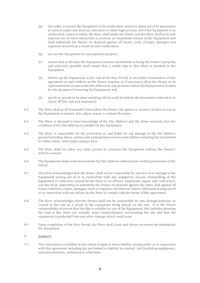- (p) not suffer or permit the Equipment to be confiscated, seized or taken out of its possession or control under any distress, execution or other legal process, but if the Equipment is so confiscated, seized or taken, the Hirer shall notify the Owner and the Hirer shall at its sole expense use its best endeavours to procure an immediate release of the Equipment and shall indemnify the Owner on demand against all losses, costs, charges, damages and expenses incurred as a result of such confiscation;
- (q) not use the Equipment for any unlawful purpose;
- (r) ensure that at all times the Equipment remains identifiable as being the Owner's property and wherever possible shall ensure that a visible sign to that effect is attached to the Equipment;
- (s) deliver up the Equipment at the end of the Hire Period or on earlier termination of this agreement at such address as the Owner requires, or if necessary allow the Owner or its representatives access to the Site Address or any premises where the Equipment is located for the purpose of removing the Equipment; and
- (t) not do or permit to be done anything which could invalidate the insurances referred to in *clause [5](#page-4-0)*(Title, risk and insurance).
- 6.2 The Hirer shall at all reasonable times allow the Owner, his agents or insurers to have access to the Equipment to inspect, test, adjust, repair or replace the same.
- 6.3 The Hirer is deemed to have knowledge of the Site Address and the Hirer warrants that the condition of the Site Address is suitable for the Equipment.
- 6.4 The Hirer is responsible for the protection of, and liable for any damage to the Site Address ground including above, surface and underground services and utilities including but not limited to cables, ducts, water pipes and gas lines.
- 6.5 The Hirer shall not allow any other person to construct the Equipment without the Owner's written consent.
- 6.6 The Equipment shall not be moved from the Site Address without prior written permission of the Owner.
- 6.7 The Hirer acknowledges that the Owner shall not be responsible for any loss of or damage to the Equipment arising out of or in connection with any negligence, misuse, mishandling of the Equipment or otherwise caused by the Hirer or its officers, employees, agents and contractors, and the Hirer undertakes to indemnify the Owner on demand against the same, and against all losses, liabilities, claims, damages, costs or expenses of whatever nature otherwise arising out of or in connection with any failure by the Hirer to comply with the terms of this agreement.
- 6.8 The Hirer acknowledges that the Owner shall not be responsible for any damage however so caused to the site as a result of the equipment being placed on the site. It is the Hirers responsibility to ensure that the Site is suitable for use of the Equipment, this includes ensuring the land is flat, there are suitable water entrenchments surrounding the site and that the equipment is protected from any other damage which could arise.
- 6.9 Upon completion of the Hire Period, the Hirer shall clean and where necessary decontaminate the Equipment.

# <span id="page-6-0"></span>**7. LIABILITY**

7.1 The restrictions on liability in this *claus[e 8](#page-6-0)* apply to every liability arising under or in connection with this agreement including but not limited to liability in contract, tort (including negligence), misrepresentation, restitution or otherwise.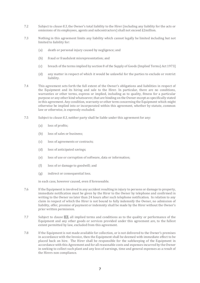- 7.2 Subject to *clause [8.3](#page-7-0)*, the Owner's total liability to the Hirer (including any liability for the acts or omissions of its employees, agents and subcontractors) shall not exceed £2million.
- <span id="page-7-0"></span>7.3 Nothing in this agreement limits any liability which cannot legally be limited including but not limited to liability for:
	- (a) death or personal injury caused by negligence; and
	- (b) fraud or fraudulent misrepresentation; and
	- (c) breach of the terms implied by section 8 of the Supply of Goods (Implied Terms) Act 1973]
	- (d) any matter in respect of which it would be unlawful for the parties to exclude or restrict liability.
- 7.4 This agreement sets forth the full extent of the Owner's obligations and liabilities in respect of the Equipment and its hiring and sale to the Hirer. In particular, there are no conditions, warranties or other terms, express or implied, including as to quality, fitness for a particular purpose or any other kind whatsoever, that are binding on the Owner except as specifically stated in this agreement. Any condition, warranty or other term concerning the Equipment which might otherwise be implied into or incorporated within this agreement, whether by statute, common law or otherwise, is expressly excluded.
- 7.5 Subject to *clause [8.3](#page-7-0)*, neither party shall be liable under this agreement for any:
	- (a) loss of profits;
	- (b) loss of sales or business;
	- (c) loss of agreements or contracts;
	- (d) loss of anticipated savings;
	- (e) loss of use or corruption of software, data or information;
	- (f) loss of or damage to goodwill; and
	- (g) indirect or consequential loss.

in each case, however caused, even if foreseeable.

- 7.6 If the Equipment is involved in any accident resulting in injury to persons or damage to property, immediate notification must be given by the Hirer to the Owner by telephone and confirmed in writing to the Owner no later than 24 hours after such telephone notification. In relation to any claim in respect of which the Hirer is not bound to fully indemnify the Owner, no admission of liability, offer, promise of payment or indemnity shall be made by the Hirer without the Owner's prior written permission.
- 7.7 Subject to [clause 8.3,](#page-7-0) all implied terms and conditions as to the quality or performance of the Equipment and any other goods or services provided under this agreement are, to the fullest extent permitted by law, excluded from this agreement.
- 7.8 If the Equipment is not made available for collection, or is not delivered to the Owner's premises in accordance with the Invoice, then the Equipment shall be deemed with immediate effect to be placed back on hire. The Hirer shall be responsible for the safekeeping of the Equipment in accordance with this Agreement and for all reasonable costs and expenses incurred by the Owner in seeking to collect such plant and any loss of earnings, time and general expenses as a result of the Hirers non compliance.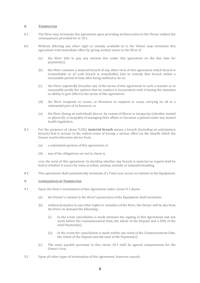## <span id="page-8-0"></span>**8. TERMINATION**

- <span id="page-8-3"></span>8.1 The Hirer may terminate this agreement upon providing written notice to the Owner subject the consequences provided for a[t 10.1.](#page-8-1)
- <span id="page-8-2"></span>8.2 Without affecting any other right or remedy available to it, the Owner may terminate this agreement with immediate effect by giving written notice to the Hirer if:
	- (a) the Hirer fails to pay any amount due under this agreement on the due date for payment(s);
	- (b) the Hirer commits a material breach of any other term of this agreement which breach is irremediable or (if such breach is remediable) fails to remedy that breach within a reasonable period of time after being notified to do so;
	- (c) the Hirer repeatedly breaches any of the terms of this agreement in such a manner as to reasonably justify the opinion that its conduct is inconsistent with it having the intention or ability to give effect to the terms of this agreement;
	- (d) the Hirer suspends or ceases, or threatens to suspend or cease, carrying on all or a substantial part of its business; or
	- (e) the Hirer (being an individual) dies or, by reason of illness or incapacity (whether mental or physical), is incapable of managing their affairs or becomes a patient under any mental health legislation.
- 8.3 For the purposes of *clause [9.2\(b\)](#page-8-2)*, **material breach** means a breach (including an anticipatory breach) that is serious in the widest sense of having a serious effect on the benefit which the Owner would otherwise derive from:
	- (a) a substantial portion of this agreement; or
	- (b) any of the obligations set out in *claus[e 6](#page-4-1)*,

over the term of this agreement. In deciding whether any breach is material no regard shall be had to whether it occurs by some accident, mishap, mistake or misunderstanding.

<span id="page-8-4"></span>8.4 This agreement shall automatically terminate if a Total Loss occurs in relation to the Equipment.

## **9. CONSEQUENCES OF TERMINATION**

- <span id="page-8-1"></span>9.1 Upon the Hirer's termination of this Agreement under claus[e 9.1](#page-8-3) above:
	- (a) the Owner's consent to the Hirer's possession of the Equipment shall terminate;
	- (b) without prejudice to any other rights or remedies of the Hirer, the Owner will be due from the Hirer on demand the following:-
		- (i) In the event cancellation is made between the signing of this Agreement and one week before the Commencement Date, the whole of the Deposit and a 50% of the total Payment(s).
		- (ii) In the event the cancellation is made within one week of the Commencement Date, the whole of the Deposit and the total of the Payment(s).
	- (c) The sums payable pursuant to this *clause [10.1](#page-8-1)* shall be agreed compensation for the Owner's loss.
- 9.2 Upon all other types of termination of this agreement, however caused: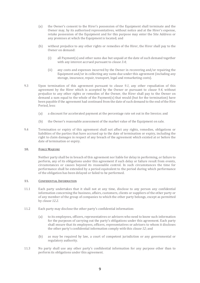- (a) the Owner's consent to the Hirer's possession of the Equipment shall terminate and the Owner may, by its authorised representatives, without notice and at the Hirer's expense, retake possession of the Equipment and for this purpose may enter the Site Address or any premises at which the Equipment is located; and
- (b) without prejudice to any other rights or remedies of the Hirer, the Hirer shall pay to the Owner on demand:
	- (i) all Payment(s) and other sums due but unpaid at the date of such demand together with any interest accrued pursuant to *clause [3.4](#page-2-0)*;
	- (ii) any costs and expenses incurred by the Owner in recovering and/or repairing the Equipment and/or in collecting any sums due under this agreement (including any storage, insurance, repair, transport, legal and remarketing costs).
- 9.3 Upon termination of this agreement pursuant to *clause [9.1](#page-8-3)*, any other repudiation of this agreement by the Hirer which is accepted by the Owner or pursuant to *clause [9.4](#page-8-4)*, without prejudice to any other rights or remedies of the Owner, the Hirer shall pay to the Owner on demand a sum equal to the whole of the Payment(s) that would (but for the termination) have been payable if the agreement had continued from the date of such demand to the end of the Hire Period, less:
	- (a) a discount for accelerated payment at the percentage rate set out in the Invoice; and
	- (b) the Owner's reasonable assessment of the market value of the Equipment on sale.
- 9.4 Termination or expiry of this agreement shall not affect any rights, remedies, obligations or liabilities of the parties that have accrued up to the date of termination or expiry, including the right to claim damages in respect of any breach of the agreement which existed at or before the date of termination or expiry.

# **10. FORCE MAJEURE**

Neither party shall be in breach of this agreement nor liable for delay in performing, or failure to perform, any of its obligations under this agreement if such delay or failure result from events, circumstances or causes beyond its reasonable control. In such circumstances the time for performance shall be extended by a period equivalent to the period during which performance of the obligation has been delayed or failed to be performed.

## <span id="page-9-1"></span>**11. CONFIDENTIAL INFORMATION**

- 11.1 Each party undertakes that it shall not at any time, disclose to any person any confidential information concerning the business, affairs, customers, clients or suppliers of the other party or of any member of the group of companies to which the other party belongs, except as permitted by *claus[e 12.2](#page-9-0)*.
- <span id="page-9-0"></span>11.2 Each party may disclose the other party's confidential information:
	- (a) to its employees, officers, representatives or advisers who need to know such information for the purposes of carrying out the party's obligations under this agreement. Each party shall ensure that its employees, officers, representatives or advisers to whom it discloses the other party's confidential information comply with this *clause [12](#page-9-1)*; and
	- (b) as may be required by law, a court of competent jurisdiction or any governmental or regulatory authority.
- 11.3 No party shall use any other party's confidential information for any purpose other than to perform its obligations under this agreement.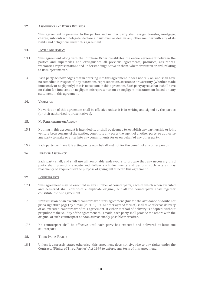## **12. ASSIGNMENT AND OTHER DEALINGS**

This agreement is personal to the parties and neither party shall assign, transfer, mortgage, charge, subcontract, delegate, declare a trust over or deal in any other manner with any of its rights and obligations under this agreement.

## **13. ENTIRE AGREEMENT**

- 13.1 This agreement along with the Purchase Order constitutes the entire agreement between the parties and supersedes and extinguishes all previous agreements, promises, assurances, warranties, representations and understandings between them, whether written or oral, relating to its subject matter.
- 13.2 Each party acknowledges that in entering into this agreement it does not rely on, and shall have no remedies in respect of, any statement, representation, assurance or warranty (whether made innocently or negligently) that is not set out in this agreement. Each party agrees that it shall have no claim for innocent or negligent misrepresentation or negligent misstatement based on any statement in this agreement.

# **14. VARIATION**

No variation of this agreement shall be effective unless it is in writing and signed by the parties (or their authorised representatives).

# **15. NO PARTNERSHIP OR AGENCY**

- 15.1 Nothing in this agreement is intended to, or shall be deemed to, establish any partnership or joint venture between any of the parties, constitute any party the agent of another party, or authorise any party to make or enter into any commitments for or on behalf of any other party.
- 15.2 Each party confirms it is acting on its own behalf and not for the benefit of any other person.

# **16. FURTHER ASSURANCE**

Each party shall, and shall use all reasonable endeavours to procure that any necessary third party shall, promptly execute and deliver such documents and perform such acts as may reasonably be required for the purpose of giving full effect to this agreement.

# **17. COUNTERPARTS**

- 17.1 This agreement may be executed in any number of counterparts, each of which when executed and delivered shall constitute a duplicate original, but all the counterparts shall together constitute the one agreement.
- 17.2 Transmission of an executed counterpart of this agreement (but for the avoidance of doubt not just a signature page) by e-mail (in PDF, JPEG or other agreed format) shall take effect as delivery of an executed counterpart of this agreement. If either method of delivery is adopted, without prejudice to the validity of the agreement thus made, each party shall provide the others with the original of such counterpart as soon as reasonably possible thereafter.
- 17.3 No counterpart shall be effective until each party has executed and delivered at least one counterpart.

## **18. THIRD PARTY RIGHTS**

18.1 Unless it expressly states otherwise, this agreement does not give rise to any rights under the Contracts (Rights of Third Parties) Act 1999 to enforce any term of this agreement.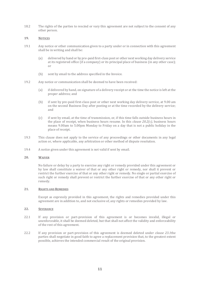18.2 The rights of the parties to rescind or vary this agreement are not subject to the consent of any other person.

# **19. NOTICES**

- 19.1 Any notice or other communication given to a party under or in connection with this agreement shall be in writing and shall be:
	- (a) delivered by hand or by pre-paid first-class post or other next working day delivery service at its registered office (if a company) or its principal place of business (in any other case); or
	- (b) sent by email to the address specified in the Invoice.
- 19.2 Any notice or communication shall be deemed to have been received:
	- (a) if delivered by hand, on signature of a delivery receipt or at the time the notice is left at the proper address; and
	- (b) if sent by pre-paid first-class post or other next working day delivery service, at 9.00 am on the second Business Day after posting or at the time recorded by the delivery service; and
	- (c) if sent by email, at the time of transmission, or, if this time falls outside business hours in the place of receipt, when business hours resume. In this *clause [20.2\(c\)](#page-11-0)*, business hours means 9.00am to 5.00pm Monday to Friday on a day that is not a public holiday in the place of receipt.
- <span id="page-11-0"></span>19.3 This clause does not apply to the service of any proceedings or other documents in any legal action or, where applicable, any arbitration or other method of dispute resolution.
- 19.4 A notice given under this agreement is not valid if sent by email.

## **20. WAIVER**

No failure or delay by a party to exercise any right or remedy provided under this agreement or by law shall constitute a waiver of that or any other right or remedy, nor shall it prevent or restrict the further exercise of that or any other right or remedy. No single or partial exercise of such right or remedy shall prevent or restrict the further exercise of that or any other right or remedy.

# **21. RIGHTS AND REMEDIES**

Except as expressly provided in this agreement, the rights and remedies provided under this agreement are in addition to, and not exclusive of, any rights or remedies provided by law.

# **22. SEVERANCE**

- <span id="page-11-1"></span>22.1 If any provision or part-provision of this agreement is or becomes invalid, illegal or unenforceable, it shall be deemed deleted, but that shall not affect the validity and enforceability of the rest of this agreement.
- 22.2 If any provision or part-provision of this agreement is deemed deleted under *clause [23.1](#page-11-1)*the parties shall negotiate in good faith to agree a replacement provision that, to the greatest extent possible, achieves the intended commercial result of the original provision.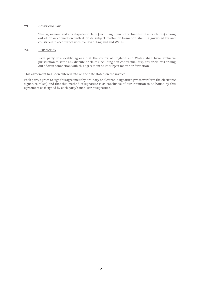## **23. GOVERNING LAW**

This agreement and any dispute or claim (including non-contractual disputes or claims) arising out of or in connection with it or its subject matter or formation shall be governed by and construed in accordance with the law of England and Wales.

## **24. JURISDICTION**

Each party irrevocably agrees that the courts of England and Wales shall have exclusive jurisdiction to settle any dispute or claim (including non-contractual disputes or claims) arising out of or in connection with this agreement or its subject matter or formation.

This agreement has been entered into on the date stated on the invoice.

Each party agrees to sign this agreement by ordinary or electronic signature (whatever form the electronic signature takes) and that this method of signature is as conclusive of our intention to be bound by this agreement as if signed by each party's manuscript signature.